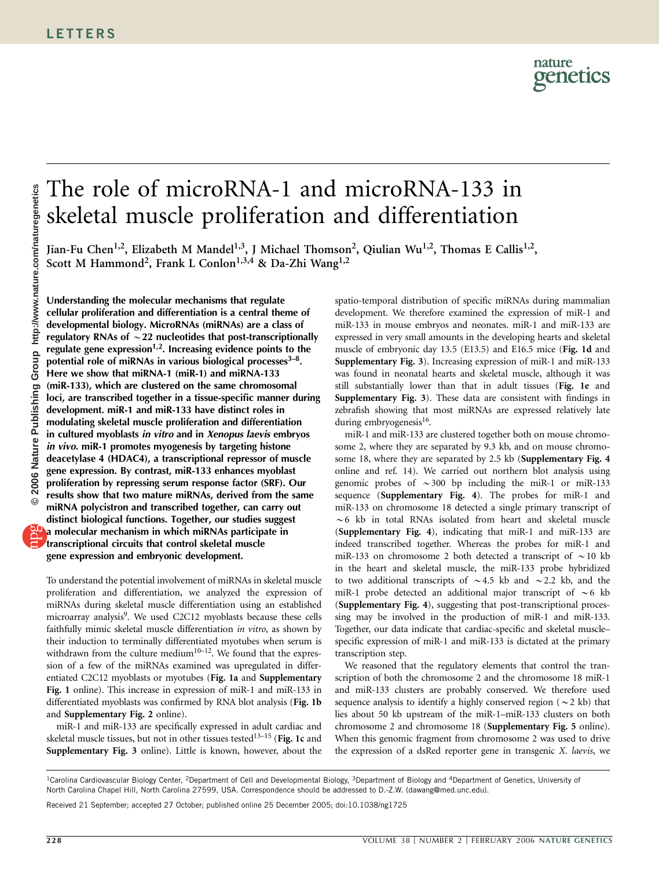# The role of microRNA-1 and microRNA-133 in skeletal muscle proliferation and differentiation

Jian-Fu Chen<sup>1,2</sup>, Elizabeth M Mandel<sup>1,3</sup>, J Michael Thomson<sup>2</sup>, Qiulian Wu<sup>1,2</sup>, Thomas E Callis<sup>1,2</sup>, Scott M Hammond<sup>2</sup>, Frank L Conlon<sup>1,3,4</sup> & Da-Zhi Wang<sup>1,2</sup>

Understanding the molecular mechanisms that regulate cellular proliferation and differentiation is a central theme of developmental biology. MicroRNAs (miRNAs) are a class of regulatory RNAs of  $\sim$  22 nucleotides that post-transcriptionally regulate gene expression<sup>1,2</sup>. Increasing evidence points to the potential role of miRNAs in various biological processes $3-8$ . Here we show that miRNA-1 (miR-1) and miRNA-133 (miR-133), which are clustered on the same chromosomal loci, are transcribed together in a tissue-specific manner during development. miR-1 and miR-133 have distinct roles in modulating skeletal muscle proliferation and differentiation in cultured myoblasts in vitro and in Xenopus laevis embryos in vivo. miR-1 promotes myogenesis by targeting histone deacetylase 4 (HDAC4), a transcriptional repressor of muscle gene expression. By contrast, miR-133 enhances myoblast proliferation by repressing serum response factor (SRF). Our results show that two mature miRNAs, derived from the same miRNA polycistron and transcribed together, can carry out distinct biological functions. Together, our studies suggest a molecular mechanism in which miRNAs participate in transcriptional circuits that control skeletal muscle gene expression and embryonic development.

To understand the potential involvement of miRNAs in skeletal muscle proliferation and differentiation, we analyzed the expression of miRNAs during skeletal muscle differentiation using an established microarray analysis<sup>9</sup>. We used C2C12 myoblasts because these cells faithfully mimic skeletal muscle differentiation in vitro, as shown by their induction to terminally differentiated myotubes when serum is withdrawn from the culture medium<sup>10–12</sup>. We found that the expression of a few of the miRNAs examined was upregulated in differentiated C2C12 myoblasts or myotubes (Fig. 1a and Supplementary Fig. 1 online). This increase in expression of miR-1 and miR-133 in differentiated myoblasts was confirmed by RNA blot analysis (Fig. 1b and Supplementary Fig. 2 online).

miR-1 and miR-133 are specifically expressed in adult cardiac and skeletal muscle tissues, but not in other tissues tested $13-15$  (Fig. 1c and Supplementary Fig. 3 online). Little is known, however, about the

spatio-temporal distribution of specific miRNAs during mammalian development. We therefore examined the expression of miR-1 and miR-133 in mouse embryos and neonates. miR-1 and miR-133 are expressed in very small amounts in the developing hearts and skeletal muscle of embryonic day 13.5 (E13.5) and E16.5 mice (Fig. 1d and Supplementary Fig. 3). Increasing expression of miR-1 and miR-133 was found in neonatal hearts and skeletal muscle, although it was still substantially lower than that in adult tissues (Fig. 1e and Supplementary Fig. 3). These data are consistent with findings in zebrafish showing that most miRNAs are expressed relatively late during embryogenesis<sup>16</sup>.

miR-1 and miR-133 are clustered together both on mouse chromosome 2, where they are separated by 9.3 kb, and on mouse chromosome 18, where they are separated by 2.5 kb (Supplementary Fig. 4 online and ref. 14). We carried out northern blot analysis using genomic probes of  $\sim$  300 bp including the miR-1 or miR-133 sequence (Supplementary Fig. 4). The probes for miR-1 and miR-133 on chromosome 18 detected a single primary transcript of  $\sim$  6 kb in total RNAs isolated from heart and skeletal muscle (Supplementary Fig. 4), indicating that miR-1 and miR-133 are indeed transcribed together. Whereas the probes for miR-1 and miR-133 on chromosome 2 both detected a transcript of  $\sim$  10 kb in the heart and skeletal muscle, the miR-133 probe hybridized to two additional transcripts of  $\sim$  4.5 kb and  $\sim$  2.2 kb, and the miR-1 probe detected an additional major transcript of  $\sim$  6 kb (Supplementary Fig. 4), suggesting that post-transcriptional processing may be involved in the production of miR-1 and miR-133. Together, our data indicate that cardiac-specific and skeletal muscle– specific expression of miR-1 and miR-133 is dictated at the primary transcription step.

We reasoned that the regulatory elements that control the transcription of both the chromosome 2 and the chromosome 18 miR-1 and miR-133 clusters are probably conserved. We therefore used sequence analysis to identify a highly conserved region ( $\sim$  2 kb) that lies about 50 kb upstream of the miR-1–miR-133 clusters on both chromosome 2 and chromosome 18 (Supplementary Fig. 5 online). When this genomic fragment from chromosome 2 was used to drive the expression of a dsRed reporter gene in transgenic X. laevis, we

Received 21 September; accepted 27 October; published online 25 December 2005; doi:10.1038/ng1725

<sup>&</sup>lt;sup>1</sup>Carolina Cardiovascular Biology Center, <sup>2</sup>Department of Cell and Developmental Biology, <sup>3</sup>Department of Biology and <sup>4</sup>Department of Genetics, University of North Carolina Chapel Hill, North Carolina 27599, USA. Correspondence should be addressed to D.-Z.W. (dawang@med.unc.edu).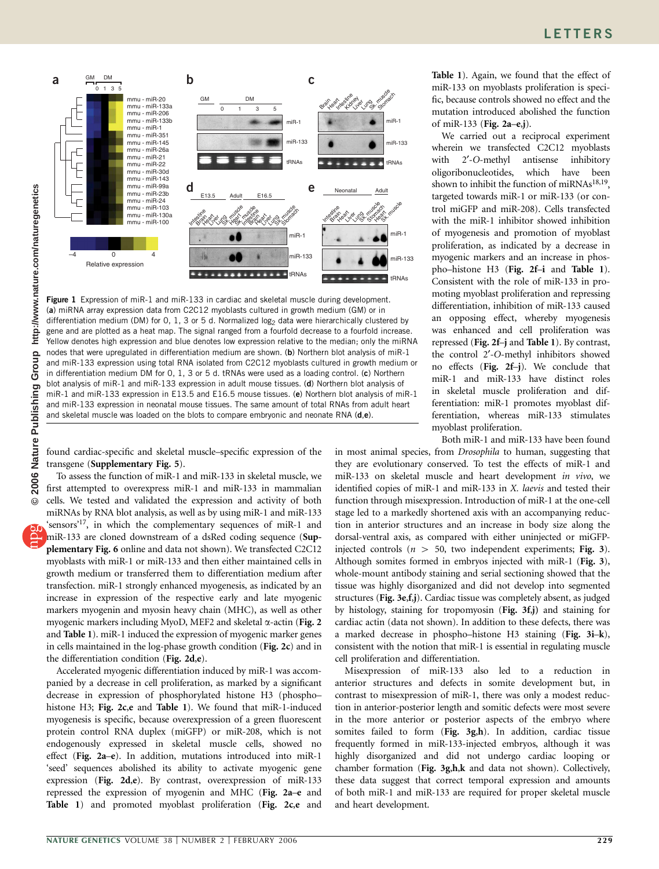

Figure 1 Expression of miR-1 and miR-133 in cardiac and skeletal muscle during development. (a) miRNA array expression data from C2C12 myoblasts cultured in growth medium (GM) or in differentiation medium (DM) for 0, 1, 3 or 5 d. Normalized log<sub>2</sub> data were hierarchically clustered by gene and are plotted as a heat map. The signal ranged from a fourfold decrease to a fourfold increase. Yellow denotes high expression and blue denotes low expression relative to the median; only the miRNA nodes that were upregulated in differentiation medium are shown. (b) Northern blot analysis of miR-1 and miR-133 expression using total RNA isolated from C2C12 myoblasts cultured in growth medium or in differentiation medium DM for 0, 1, 3 or 5 d. tRNAs were used as a loading control. (c) Northern blot analysis of miR-1 and miR-133 expression in adult mouse tissues. (d) Northern blot analysis of miR-1 and miR-133 expression in E13.5 and E16.5 mouse tissues. (e) Northern blot analysis of miR-1 and miR-133 expression in neonatal mouse tissues. The same amount of total RNAs from adult heart and skeletal muscle was loaded on the blots to compare embryonic and neonate RNA (d,e).

found cardiac-specific and skeletal muscle–specific expression of the transgene (Supplementary Fig. 5).

To assess the function of miR-1 and miR-133 in skeletal muscle, we first attempted to overexpress miR-1 and miR-133 in mammalian cells. We tested and validated the expression and activity of both miRNAs by RNA blot analysis, as well as by using miR-1 and miR-133 'sensors'<sup>17</sup>, in which the complementary sequences of miR-1 and miR-133 are cloned downstream of a dsRed coding sequence (Supplementary Fig. 6 online and data not shown). We transfected C2C12 myoblasts with miR-1 or miR-133 and then either maintained cells in growth medium or transferred them to differentiation medium after transfection. miR-1 strongly enhanced myogenesis, as indicated by an increase in expression of the respective early and late myogenic markers myogenin and myosin heavy chain (MHC), as well as other myogenic markers including MyoD, MEF2 and skeletal  $\alpha$ -actin (Fig. 2) and Table 1). miR-1 induced the expression of myogenic marker genes in cells maintained in the log-phase growth condition (Fig. 2c) and in the differentiation condition (Fig. 2d,e).

Accelerated myogenic differentiation induced by miR-1 was accompanied by a decrease in cell proliferation, as marked by a significant decrease in expression of phosphorylated histone H3 (phospho– histone H3; Fig. 2c,e and Table 1). We found that miR-1-induced myogenesis is specific, because overexpression of a green fluorescent protein control RNA duplex (miGFP) or miR-208, which is not endogenously expressed in skeletal muscle cells, showed no effect (Fig. 2a–e). In addition, mutations introduced into miR-1 'seed' sequences abolished its ability to activate myogenic gene expression (Fig. 2d,e). By contrast, overexpression of miR-133 repressed the expression of myogenin and MHC (Fig. 2a–e and Table 1) and promoted myoblast proliferation (Fig. 2c,e and

Table 1). Again, we found that the effect of miR-133 on myoblasts proliferation is specific, because controls showed no effect and the mutation introduced abolished the function of miR-133 (Fig. 2a–e,j).

We carried out a reciprocal experiment wherein we transfected C2C12 myoblasts with 2'-O-methyl antisense inhibitory oligoribonucleotides, which have been shown to inhibit the function of miRNAs<sup>18,19</sup>, targeted towards miR-1 or miR-133 (or control miGFP and miR-208). Cells transfected with the miR-1 inhibitor showed inhibition of myogenesis and promotion of myoblast proliferation, as indicated by a decrease in myogenic markers and an increase in phospho–histone H3 (Fig. 2f–i and Table 1). Consistent with the role of miR-133 in promoting myoblast proliferation and repressing differentiation, inhibition of miR-133 caused an opposing effect, whereby myogenesis was enhanced and cell proliferation was repressed (Fig. 2f–j and Table 1). By contrast, the control 2'-O-methyl inhibitors showed no effects (Fig. 2f–j). We conclude that miR-1 and miR-133 have distinct roles in skeletal muscle proliferation and differentiation: miR-1 promotes myoblast differentiation, whereas miR-133 stimulates myoblast proliferation.

Both miR-1 and miR-133 have been found in most animal species, from Drosophila to human, suggesting that they are evolutionary conserved. To test the effects of miR-1 and miR-133 on skeletal muscle and heart development in vivo, we identified copies of miR-1 and miR-133 in X. laevis and tested their function through misexpression. Introduction of miR-1 at the one-cell stage led to a markedly shortened axis with an accompanying reduction in anterior structures and an increase in body size along the dorsal-ventral axis, as compared with either uninjected or miGFPinjected controls ( $n > 50$ , two independent experiments; Fig. 3). Although somites formed in embryos injected with miR-1 (Fig. 3), whole-mount antibody staining and serial sectioning showed that the tissue was highly disorganized and did not develop into segmented structures (Fig. 3e,f,j). Cardiac tissue was completely absent, as judged by histology, staining for tropomyosin (Fig. 3f,j) and staining for cardiac actin (data not shown). In addition to these defects, there was a marked decrease in phospho–histone H3 staining (Fig. 3i–k), consistent with the notion that miR-1 is essential in regulating muscle cell proliferation and differentiation.

Misexpression of miR-133 also led to a reduction in anterior structures and defects in somite development but, in contrast to misexpression of miR-1, there was only a modest reduction in anterior-posterior length and somitic defects were most severe in the more anterior or posterior aspects of the embryo where somites failed to form (Fig. 3g,h). In addition, cardiac tissue frequently formed in miR-133-injected embryos, although it was highly disorganized and did not undergo cardiac looping or chamber formation (Fig. 3g,h,k and data not shown). Collectively, these data suggest that correct temporal expression and amounts of both miR-1 and miR-133 are required for proper skeletal muscle and heart development.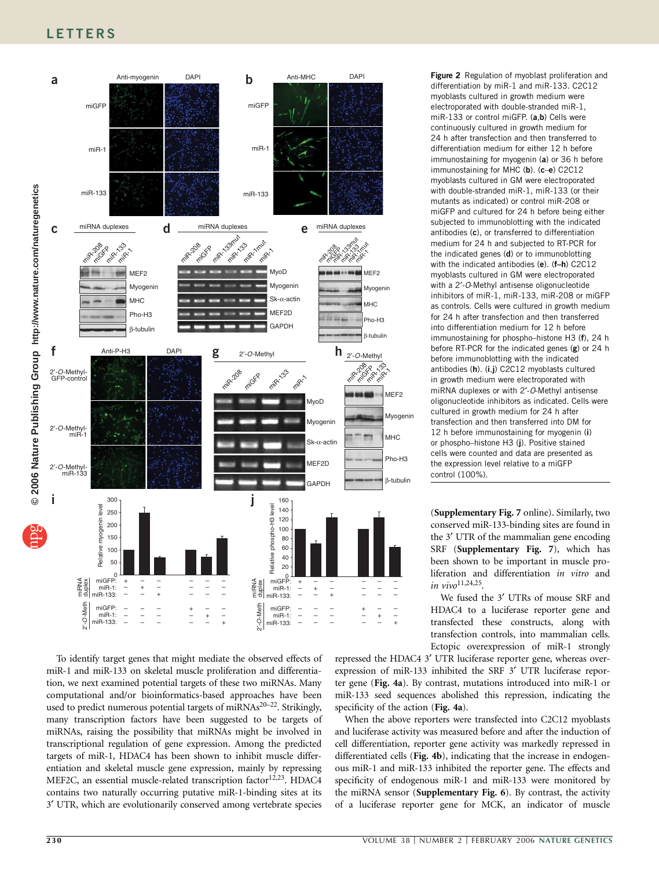## **LETTERS**



To identify target genes that might mediate the observed effects of miR-1 and miR-133 on skeletal muscle proliferation and differentiation, we next examined potential targets of these two miRNAs. Many computational and/or bioinformatics-based approaches have been used to predict numerous potential targets of miRNAs<sup>20–22</sup>. Strikingly, many transcription factors have been suggested to be targets of miRNAs, raising the possibility that miRNAs might be involved in transcriptional regulation of gene expression. Among the predicted targets of miR-1, HDAC4 has been shown to inhibit muscle differentiation and skeletal muscle gene expression, mainly by repressing MEF2C, an essential muscle-related transcription factor<sup>12,23</sup>. HDAC4 contains two naturally occurring putative miR-1-binding sites at its 3¢ UTR, which are evolutionarily conserved among vertebrate species Figure 2 Regulation of myoblast proliferation and differentiation by miR-1 and miR-133. C2C12 myoblasts cultured in growth medium were electroporated with double-stranded miR-1, miR-133 or control miGFP. (a,b) Cells were continuously cultured in growth medium for 24 h after transfection and then transferred to differentiation medium for either 12 h before immunostaining for myogenin (a) or 36 h before immunostaining for MHC (b). (c-e) C2C12 myoblasts cultured in GM were electroporated with double-stranded miR-1, miR-133 (or their mutants as indicated) or control miR-208 or miGFP and cultured for 24 h before being either subjected to immunoblotting with the indicated antibodies (c), or transferred to differentiation medium for 24 h and subjected to RT-PCR for the indicated genes  $(d)$  or to immunoblotting with the indicated antibodies (e). (f–h) C2C12 myoblasts cultured in GM were electroporated with a 2'-O-Methyl antisense oligonucleotide inhibitors of miR-1, miR-133, miR-208 or miGFP as controls. Cells were cultured in growth medium for 24 h after transfection and then transferred into differentiation medium for 12 h before immunostaining for phospho–histone H3 (f), 24 h before RT-PCR for the indicated genes (g) or 24 h before immunoblotting with the indicated antibodies (h). (i,j) C2C12 myoblasts cultured in growth medium were electroporated with miRNA duplexes or with 2'-O-Methyl antisense oligonucleotide inhibitors as indicated. Cells were cultured in growth medium for 24 h after transfection and then transferred into DM for 12 h before immunostaining for myogenin (i) or phospho–histone H3 (j). Positive stained cells were counted and data are presented as the expression level relative to a miGFP control (100%).

(Supplementary Fig. 7 online). Similarly, two conserved miR-133-binding sites are found in the 3' UTR of the mammalian gene encoding SRF (Supplementary Fig. 7), which has been shown to be important in muscle proliferation and differentiation in vitro and in vivo<sup>11,24,25</sup>.

We fused the 3' UTRs of mouse SRF and HDAC4 to a luciferase reporter gene and transfected these constructs, along with transfection controls, into mammalian cells. Ectopic overexpression of miR-1 strongly

repressed the HDAC4 3' UTR luciferase reporter gene, whereas overexpression of miR-133 inhibited the SRF 3' UTR luciferase reporter gene (Fig. 4a). By contrast, mutations introduced into miR-1 or miR-133 seed sequences abolished this repression, indicating the specificity of the action (Fig. 4a).

When the above reporters were transfected into C2C12 myoblasts and luciferase activity was measured before and after the induction of cell differentiation, reporter gene activity was markedly repressed in differentiated cells (Fig. 4b), indicating that the increase in endogenous miR-1 and miR-133 inhibited the reporter gene. The effects and specificity of endogenous miR-1 and miR-133 were monitored by the miRNA sensor (Supplementary Fig. 6). By contrast, the activity of a luciferase reporter gene for MCK, an indicator of muscle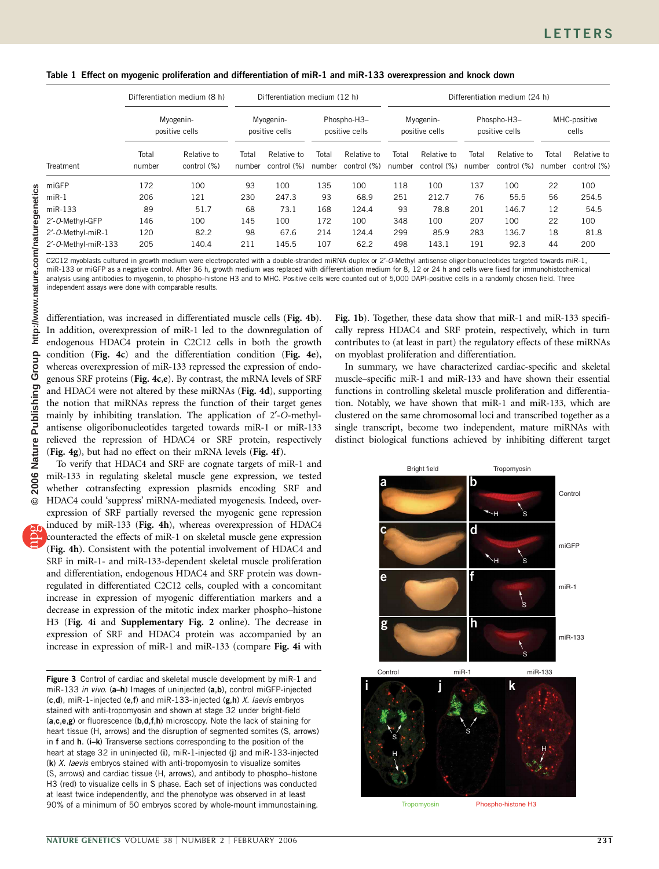Table 1 Effect on myogenic proliferation and differentiation of miR-1 and miR-133 overexpression and knock down

| Treatment           | Differentiation medium (8 h)<br>Myogenin-<br>positive cells |                            | Differentiation medium (12 h) |                            |                               |                            | Differentiation medium (24 h) |                            |                               |                            |                       |                            |
|---------------------|-------------------------------------------------------------|----------------------------|-------------------------------|----------------------------|-------------------------------|----------------------------|-------------------------------|----------------------------|-------------------------------|----------------------------|-----------------------|----------------------------|
|                     |                                                             |                            | Myogenin-<br>positive cells   |                            | Phospho-H3-<br>positive cells |                            | Myogenin-<br>positive cells   |                            | Phospho-H3-<br>positive cells |                            | MHC-positive<br>cells |                            |
|                     | Total<br>number                                             | Relative to<br>control (%) | Total<br>number               | Relative to<br>control (%) | Total<br>number               | Relative to<br>control (%) | Total<br>number               | Relative to<br>control (%) | Total<br>number               | Relative to<br>control (%) | Total<br>number       | Relative to<br>control (%) |
| miGFP               | 172                                                         | 100                        | 93                            | 100                        | 135                           | 100                        | 118                           | 100                        | 137                           | 100                        | 22                    | 100                        |
| $miR-1$             | 206                                                         | 121                        | 230                           | 247.3                      | 93                            | 68.9                       | 251                           | 212.7                      | 76                            | 55.5                       | 56                    | 254.5                      |
| $miR-133$           | 89                                                          | 51.7                       | 68                            | 73.1                       | 168                           | 124.4                      | 93                            | 78.8                       | 201                           | 146.7                      | 12                    | 54.5                       |
| 2'-O-Methyl-GFP     | 146                                                         | 100                        | 145                           | 100                        | 172                           | 100                        | 348                           | 100                        | 207                           | 100                        | 22                    | 100                        |
| 2'-O-Methyl-miR-1   | 120                                                         | 82.2                       | 98                            | 67.6                       | 214                           | 124.4                      | 299                           | 85.9                       | 283                           | 136.7                      | 18                    | 81.8                       |
| 2'-O-Methyl-miR-133 | 205                                                         | 140.4                      | 211                           | 145.5                      | 107                           | 62.2                       | 498                           | 143.1                      | 191                           | 92.3                       | 44                    | 200                        |

C2C12 myoblasts cultured in growth medium were electroporated with a double-stranded miRNA duplex or 2'-O-Methyl antisense oligoribonucleotides targeted towards miR-1 miR-133 or miGFP as a negative control. After 36 h, growth medium was replaced with differentiation medium for 8, 12 or 24 h and cells were fixed for immunohistochemical analysis using antibodies to myogenin, to phospho–histone H3 and to MHC. Positive cells were counted out of 5,000 DAPI-positive cells in a randomly chosen field. Three independent assays were done with comparable results.

differentiation, was increased in differentiated muscle cells (Fig. 4b). In addition, overexpression of miR-1 led to the downregulation of endogenous HDAC4 protein in C2C12 cells in both the growth condition (Fig. 4c) and the differentiation condition (Fig. 4e), whereas overexpression of miR-133 repressed the expression of endogenous SRF proteins (Fig. 4c,e). By contrast, the mRNA levels of SRF and HDAC4 were not altered by these miRNAs (Fig. 4d), supporting the notion that miRNAs repress the function of their target genes mainly by inhibiting translation. The application of 2'-O-methylantisense oligoribonucleotides targeted towards miR-1 or miR-133 relieved the repression of HDAC4 or SRF protein, respectively (Fig. 4g), but had no effect on their mRNA levels (Fig. 4f).

To verify that HDAC4 and SRF are cognate targets of miR-1 and miR-133 in regulating skeletal muscle gene expression, we tested whether cotransfecting expression plasmids encoding SRF and HDAC4 could 'suppress' miRNA-mediated myogenesis. Indeed, overexpression of SRF partially reversed the myogenic gene repression induced by miR-133 (Fig. 4h), whereas overexpression of HDAC4 counteracted the effects of miR-1 on skeletal muscle gene expression (Fig. 4h). Consistent with the potential involvement of HDAC4 and SRF in miR-1- and miR-133-dependent skeletal muscle proliferation and differentiation, endogenous HDAC4 and SRF protein was downregulated in differentiated C2C12 cells, coupled with a concomitant increase in expression of myogenic differentiation markers and a decrease in expression of the mitotic index marker phospho–histone H3 (Fig. 4i and Supplementary Fig. 2 online). The decrease in expression of SRF and HDAC4 protein was accompanied by an increase in expression of miR-1 and miR-133 (compare Fig. 4i with

Figure 3 Control of cardiac and skeletal muscle development by miR-1 and miR-133 in vivo. (a-h) Images of uninjected (a,b), control miGFP-injected  $(c,d)$ , miR-1-injected  $(e,f)$  and miR-133-injected  $(g,h)$  X. laevis embryos stained with anti-tropomyosin and shown at stage 32 under bright-field  $(a,c,e,g)$  or fluorescence  $(b,d,f,h)$  microscopy. Note the lack of staining for heart tissue (H, arrows) and the disruption of segmented somites (S, arrows) in f and h. (i–k) Transverse sections corresponding to the position of the heart at stage 32 in uninjected (i), miR-1-injected (j) and miR-133-injected  $(k)$  X. laevis embryos stained with anti-tropomyosin to visualize somites (S, arrows) and cardiac tissue (H, arrows), and antibody to phospho–histone H3 (red) to visualize cells in S phase. Each set of injections was conducted at least twice independently, and the phenotype was observed in at least 90% of a minimum of 50 embryos scored by whole-mount immunostaining.

Fig. 1b). Together, these data show that miR-1 and miR-133 specifically repress HDAC4 and SRF protein, respectively, which in turn contributes to (at least in part) the regulatory effects of these miRNAs on myoblast proliferation and differentiation.

In summary, we have characterized cardiac-specific and skeletal muscle–specific miR-1 and miR-133 and have shown their essential functions in controlling skeletal muscle proliferation and differentiation. Notably, we have shown that miR-1 and miR-133, which are clustered on the same chromosomal loci and transcribed together as a single transcript, become two independent, mature miRNAs with distinct biological functions achieved by inhibiting different target

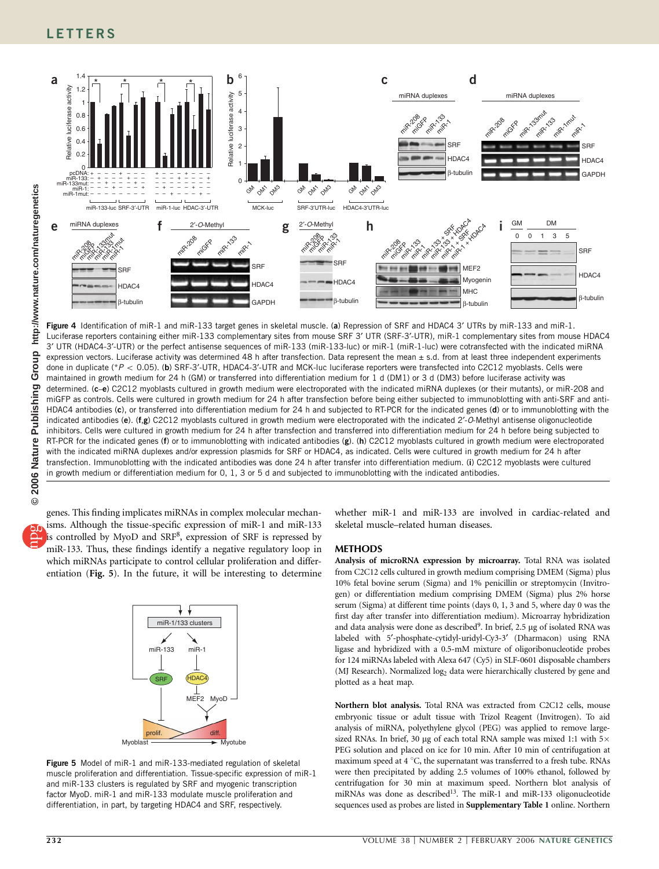

Figure 4 Identification of miR-1 and miR-133 target genes in skeletal muscle. (a) Repression of SRF and HDAC4 3' UTRs by miR-133 and miR-1. Luciferase reporters containing either miR-133 complementary sites from mouse SRF 3' UTR (SRF-3'-UTR), miR-1 complementary sites from mouse HDAC4 3¢ UTR (HDAC4-3¢-UTR) or the perfect antisense sequences of miR-133 (miR-133-luc) or miR-1 (miR-1-luc) were cotransfected with the indicated miRNA expression vectors. Luciferase activity was determined 48 h after transfection. Data represent the mean ± s.d. from at least three independent experiments done in duplicate (\*P < 0.05). (b) SRF-3'-UTR, HDAC4-3'-UTR and MCK-luc luciferase reporters were transfected into C2C12 myoblasts. Cells were maintained in growth medium for 24 h (GM) or transferred into differentiation medium for 1 d (DM1) or 3 d (DM3) before luciferase activity was determined. (c-e) C2C12 myoblasts cultured in growth medium were electroporated with the indicated miRNA duplexes (or their mutants), or miR-208 and miGFP as controls. Cells were cultured in growth medium for 24 h after transfection before being either subjected to immunoblotting with anti-SRF and anti-HDAC4 antibodies (c), or transferred into differentiation medium for 24 h and subjected to RT-PCR for the indicated genes (d) or to immunoblotting with the indicated antibodies (e). (f,g) C2C12 myoblasts cultured in growth medium were electroporated with the indicated 2'-O-Methyl antisense oligonucleotide inhibitors. Cells were cultured in growth medium for 24 h after transfection and transferred into differentiation medium for 24 h before being subjected to RT-PCR for the indicated genes (f) or to immunoblotting with indicated antibodies (g). (h) C2C12 myoblasts cultured in growth medium were electroporated with the indicated miRNA duplexes and/or expression plasmids for SRF or HDAC4, as indicated. Cells were cultured in growth medium for 24 h after transfection. Immunoblotting with the indicated antibodies was done 24 h after transfer into differentiation medium. (i) C2C12 myoblasts were cultured in growth medium or differentiation medium for 0, 1, 3 or 5 d and subjected to immunoblotting with the indicated antibodies.

genes. This finding implicates miRNAs in complex molecular mechanisms. Although the tissue-specific expression of miR-1 and miR-133 is controlled by MyoD and SRF<sup>8</sup>, expression of SRF is repressed by miR-133. Thus, these findings identify a negative regulatory loop in which miRNAs participate to control cellular proliferation and differentiation (Fig. 5). In the future, it will be interesting to determine



Figure 5 Model of miR-1 and miR-133-mediated regulation of skeletal muscle proliferation and differentiation. Tissue-specific expression of miR-1 and miR-133 clusters is regulated by SRF and myogenic transcription factor MyoD. miR-1 and miR-133 modulate muscle proliferation and differentiation, in part, by targeting HDAC4 and SRF, respectively.

whether miR-1 and miR-133 are involved in cardiac-related and skeletal muscle–related human diseases.

### **METHODS**

Analysis of microRNA expression by microarray. Total RNA was isolated from C2C12 cells cultured in growth medium comprising DMEM (Sigma) plus 10% fetal bovine serum (Sigma) and 1% penicillin or streptomycin (Invitrogen) or differentiation medium comprising DMEM (Sigma) plus 2% horse serum (Sigma) at different time points (days 0, 1, 3 and 5, where day 0 was the first day after transfer into differentiation medium). Microarray hybridization and data analysis were done as described<sup>9</sup>. In brief, 2.5 µg of isolated RNA was labeled with 5'-phosphate-cytidyl-uridyl-Cy3-3' (Dharmacon) using RNA ligase and hybridized with a 0.5-mM mixture of oligoribonucleotide probes for 124 miRNAs labeled with Alexa 647 (Cy5) in SLF-0601 disposable chambers (MJ Research). Normalized log<sub>2</sub> data were hierarchically clustered by gene and plotted as a heat map.

Northern blot analysis. Total RNA was extracted from C2C12 cells, mouse embryonic tissue or adult tissue with Trizol Reagent (Invitrogen). To aid analysis of miRNA, polyethylene glycol (PEG) was applied to remove largesized RNAs. In brief, 30 µg of each total RNA sample was mixed 1:1 with  $5\times$ PEG solution and placed on ice for 10 min. After 10 min of centrifugation at maximum speed at 4  $\degree$ C, the supernatant was transferred to a fresh tube. RNAs were then precipitated by adding 2.5 volumes of 100% ethanol, followed by centrifugation for 30 min at maximum speed. Northern blot analysis of miRNAs was done as described<sup>13</sup>. The miR-1 and miR-133 oligonucleotide sequences used as probes are listed in Supplementary Table 1 online. Northern